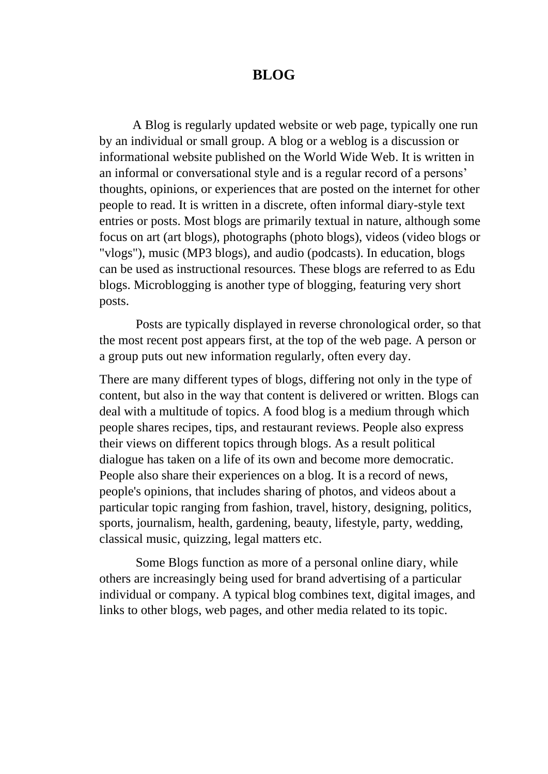## **BLOG**

A Blog is regularly updated website or web page, typically one run by an individual or small group. A blog or a weblog is a discussion or informational website published on the World Wide Web. It is written in an informal or conversational style and is a regular record of a persons' thoughts, opinions, or experiences that are posted on the internet for other people to read. It is written in a discrete, often informal diary-style text entries or posts. Most blogs are primarily textual in nature, although some focus on art (art blogs), photographs (photo blogs), videos (video blogs or "vlogs"), music (MP3 blogs), and audio (podcasts). In education, blogs can be used as instructional resources. These blogs are referred to as Edu blogs. Microblogging is another type of blogging, featuring very short posts.

Posts are typically displayed in reverse chronological order, so that the most recent post appears first, at the top of the web page. A person or a group puts out new information regularly, often every day.

There are many different types of blogs, differing not only in the type of content, but also in the way that content is delivered or written. Blogs can deal with a multitude of topics. A food blog is a medium through which people shares recipes, tips, and restaurant reviews. People also express their views on different topics through blogs. As a result political dialogue has taken on a life of its own and become more democratic. People also share their experiences on a blog. It is a record of news, people's opinions, that includes sharing of photos, and videos about a particular topic ranging from fashion, travel, history, designing, politics, sports, journalism, health, gardening, beauty, lifestyle, party, wedding, classical music, quizzing, legal matters etc.

Some Blogs function as more of a personal online diary, while others are increasingly being used for brand advertising of a particular individual or company. A typical blog combines text, digital images, and links to other blogs, web pages, and other media related to its topic.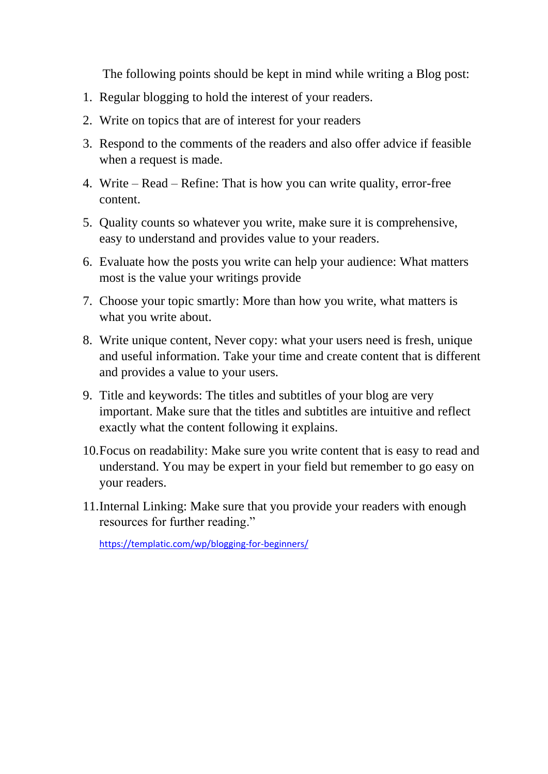The following points should be kept in mind while writing a Blog post:

- 1. Regular blogging to hold the interest of your readers.
- 2. Write on topics that are of interest for your readers
- 3. Respond to the comments of the readers and also offer advice if feasible when a request is made.
- 4. Write Read Refine: That is how you can write quality, error-free content.
- 5. Quality counts so whatever you write, make sure it is comprehensive, easy to understand and provides value to your readers.
- 6. Evaluate how the posts you write can help your audience: What matters most is the value your writings provide
- 7. Choose your topic smartly: More than how you write, what matters is what you write about.
- 8. Write unique content, Never copy: what your users need is fresh, unique and useful information. Take your time and create content that is different and provides a value to your users.
- 9. Title and keywords: The titles and subtitles of your blog are very important. Make sure that the titles and subtitles are intuitive and reflect exactly what the content following it explains.
- 10.Focus on readability: Make sure you write content that is easy to read and understand. You may be expert in your field but remember to go easy on your readers.
- 11.Internal Linking: Make sure that you provide your readers with enough resources for further reading."

<https://templatic.com/wp/blogging-for-beginners/>